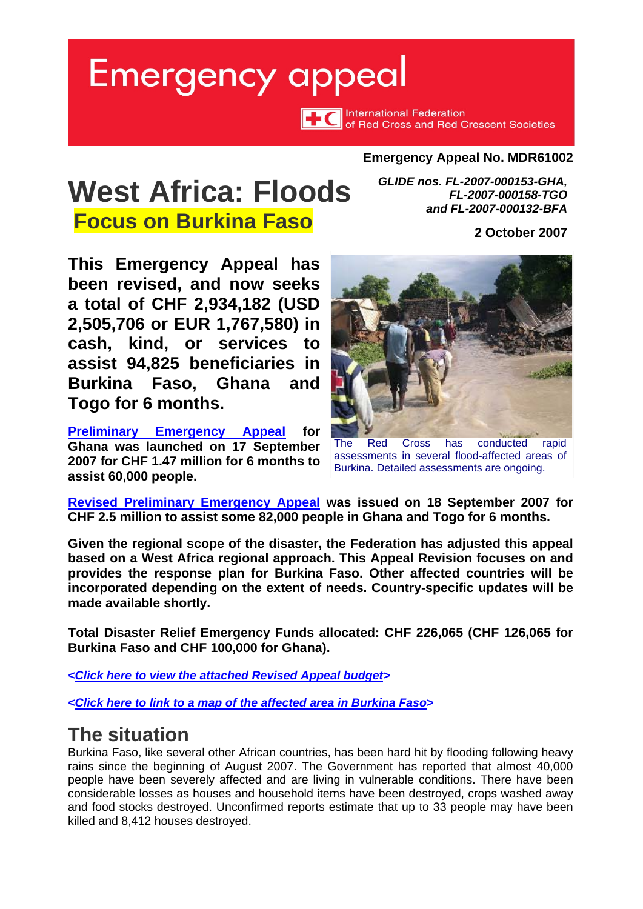# <span id="page-0-0"></span>**Emergency appeal**

International Federation<br> **THE** of Red Cross and Red Crescent Societies

#### **Emergency Appeal No. MDR61002**

## **West Africa: Floods**

**Focus on Burkina Faso** 

*GLIDE nos. FL-2007-000153-GHA, FL-2007-000158-TGO and FL-2007-000132-BFA* 

**2 October 2007**

**This Emergency Appeal has been revised, and now seeks a total of CHF 2,934,182 (USD 2,505,706 or EUR 1,767,580) in cash, kind, or services to assist 94,825 beneficiaries in Burkina Faso, Ghana and Togo for 6 months.** 

**[Preliminary Emergency Appeal](http://www.ifrc.org/docs/appeals/07/MDRGH001Prelim.pdf) for Ghana was launched on 17 September 2007 for CHF 1.47 million for 6 months to assist 60,000 people.** 



The Red Cross has conducted rapid assessments in several flood-affected areas of Burkina. Detailed assessments are ongoing.

**[Revised Preliminary Emergency Appeal](http://www.ifrc.org/docs/appeals/07/MDR61002Prelim.pdf) was issued on 18 September 2007 for CHF 2.5 million to assist some 82,000 people in Ghana and Togo for 6 months.** 

**Given the regional scope of the disaster, the Federation has adjusted this appeal based on a West Africa regional approach. This Appeal Revision focuses on and provides the response plan for Burkina Faso. Other affected countries will be incorporated depending on the extent of needs. Country-specific updates will be made available shortly.** 

**Total Disaster Relief Emergency Funds allocated: CHF 226,065 (CHF 126,065 for Burkina Faso and CHF 100,000 for Ghana).** 

*[<Click here to view the attached Revised Appeal budget>](#page-6-0)* 

*[<Click here to link to a map of the affected area in Burkina Faso>](#page-7-0)*

## **The situation**

Burkina Faso, like several other African countries, has been hard hit by flooding following heavy rains since the beginning of August 2007. The Government has reported that almost 40,000 people have been severely affected and are living in vulnerable conditions. There have been considerable losses as houses and household items have been destroyed, crops washed away and food stocks destroyed. Unconfirmed reports estimate that up to 33 people may have been killed and 8,412 houses destroyed.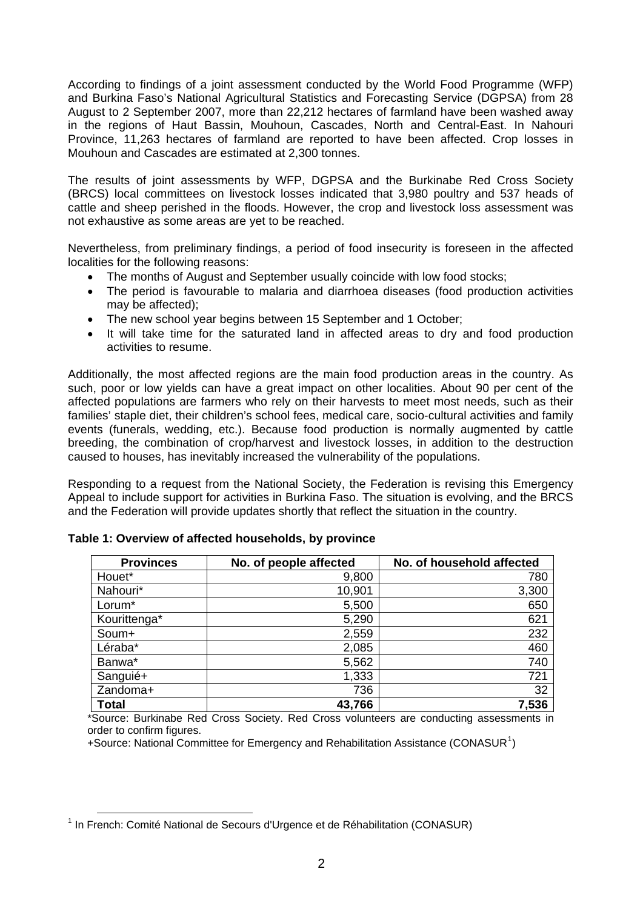According to findings of a joint assessment conducted by the World Food Programme (WFP) and Burkina Faso's National Agricultural Statistics and Forecasting Service (DGPSA) from 28 August to 2 September 2007, more than 22,212 hectares of farmland have been washed away in the regions of Haut Bassin, Mouhoun, Cascades, North and Central-East. In Nahouri Province, 11,263 hectares of farmland are reported to have been affected. Crop losses in Mouhoun and Cascades are estimated at 2,300 tonnes.

The results of joint assessments by WFP, DGPSA and the Burkinabe Red Cross Society (BRCS) local committees on livestock losses indicated that 3,980 poultry and 537 heads of cattle and sheep perished in the floods. However, the crop and livestock loss assessment was not exhaustive as some areas are yet to be reached.

Nevertheless, from preliminary findings, a period of food insecurity is foreseen in the affected localities for the following reasons:

- The months of August and September usually coincide with low food stocks;
- The period is favourable to malaria and diarrhoea diseases (food production activities may be affected);
- The new school year begins between 15 September and 1 October;
- It will take time for the saturated land in affected areas to dry and food production activities to resume.

Additionally, the most affected regions are the main food production areas in the country. As such, poor or low yields can have a great impact on other localities. About 90 per cent of the affected populations are farmers who rely on their harvests to meet most needs, such as their families' staple diet, their children's school fees, medical care, socio-cultural activities and family events (funerals, wedding, etc.). Because food production is normally augmented by cattle breeding, the combination of crop/harvest and livestock losses, in addition to the destruction caused to houses, has inevitably increased the vulnerability of the populations.

Responding to a request from the National Society, the Federation is revising this Emergency Appeal to include support for activities in Burkina Faso. The situation is evolving, and the BRCS and the Federation will provide updates shortly that reflect the situation in the country.

| <b>Provinces</b> | No. of people affected | No. of household affected |  |  |
|------------------|------------------------|---------------------------|--|--|
| Houet*           | 9,800                  | 780                       |  |  |
| Nahouri*         | 10,901                 | 3,300                     |  |  |
| Lorum*           | 5,500                  | 650                       |  |  |
| Kourittenga*     | 5,290                  | 621                       |  |  |
| Soum+            | 2,559                  | 232                       |  |  |
| Léraba*          | 2,085                  | 460                       |  |  |
| Banwa*           | 5,562                  | 740                       |  |  |
| Sanguié+         | 1,333                  | 721                       |  |  |
| Zandoma+         | 736                    | 32                        |  |  |
| <b>Total</b>     | 43,766                 | 7,536                     |  |  |

**Table 1: Overview of affected households, by province** 

\*Source: Burkinabe Red Cross Society. Red Cross volunteers are conducting assessments in order to confirm figures.

 $+$ Source: National Committee for Emergency and Rehabilitation Assistance (CONASUR<sup>[1](#page-1-0)</sup>)

<span id="page-1-0"></span><sup>1</sup> In French: Comité National de Secours d'Urgence et de Réhabilitation (CONASUR)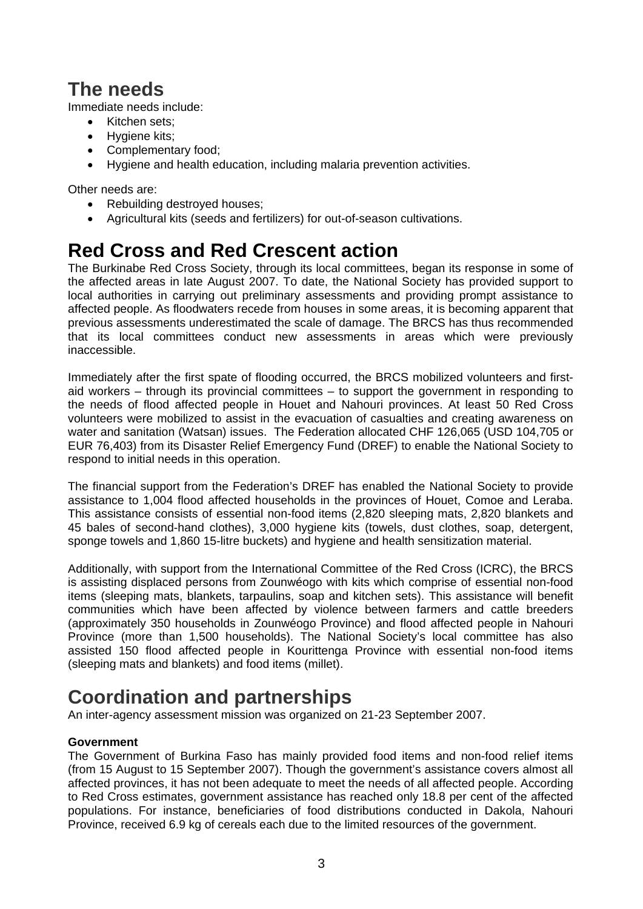## **The needs**

Immediate needs include:

- Kitchen sets;
- Hygiene kits:
- Complementary food;
- Hygiene and health education, including malaria prevention activities.

Other needs are:

- Rebuilding destroved houses:
- Agricultural kits (seeds and fertilizers) for out-of-season cultivations.

## **Red Cross and Red Crescent action**

The Burkinabe Red Cross Society, through its local committees, began its response in some of the affected areas in late August 2007. To date, the National Society has provided support to local authorities in carrying out preliminary assessments and providing prompt assistance to affected people. As floodwaters recede from houses in some areas, it is becoming apparent that previous assessments underestimated the scale of damage. The BRCS has thus recommended that its local committees conduct new assessments in areas which were previously inaccessible.

Immediately after the first spate of flooding occurred, the BRCS mobilized volunteers and firstaid workers – through its provincial committees – to support the government in responding to the needs of flood affected people in Houet and Nahouri provinces. At least 50 Red Cross volunteers were mobilized to assist in the evacuation of casualties and creating awareness on water and sanitation (Watsan) issues. The Federation allocated CHF 126,065 (USD 104,705 or EUR 76,403) from its Disaster Relief Emergency Fund (DREF) to enable the National Society to respond to initial needs in this operation.

The financial support from the Federation's DREF has enabled the National Society to provide assistance to 1,004 flood affected households in the provinces of Houet, Comoe and Leraba. This assistance consists of essential non-food items (2,820 sleeping mats, 2,820 blankets and 45 bales of second-hand clothes), 3,000 hygiene kits (towels, dust clothes, soap, detergent, sponge towels and 1,860 15-litre buckets) and hygiene and health sensitization material.

Additionally, with support from the International Committee of the Red Cross (ICRC), the BRCS is assisting displaced persons from Zounwéogo with kits which comprise of essential non-food items (sleeping mats, blankets, tarpaulins, soap and kitchen sets). This assistance will benefit communities which have been affected by violence between farmers and cattle breeders (approximately 350 households in Zounwéogo Province) and flood affected people in Nahouri Province (more than 1,500 households). The National Society's local committee has also assisted 150 flood affected people in Kourittenga Province with essential non-food items (sleeping mats and blankets) and food items (millet).

## **Coordination and partnerships**

An inter-agency assessment mission was organized on 21-23 September 2007.

#### **Government**

The Government of Burkina Faso has mainly provided food items and non-food relief items (from 15 August to 15 September 2007). Though the government's assistance covers almost all affected provinces, it has not been adequate to meet the needs of all affected people. According to Red Cross estimates, government assistance has reached only 18.8 per cent of the affected populations. For instance, beneficiaries of food distributions conducted in Dakola, Nahouri Province, received 6.9 kg of cereals each due to the limited resources of the government.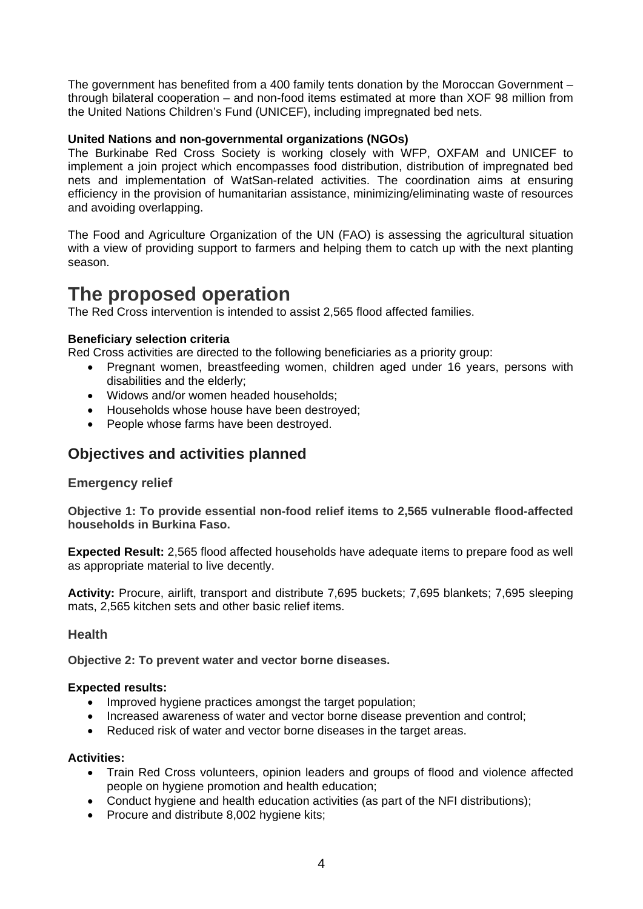The government has benefited from a 400 family tents donation by the Moroccan Government – through bilateral cooperation – and non-food items estimated at more than XOF 98 million from the United Nations Children's Fund (UNICEF), including impregnated bed nets.

#### **United Nations and non-governmental organizations (NGOs)**

The Burkinabe Red Cross Society is working closely with WFP, OXFAM and UNICEF to implement a join project which encompasses food distribution, distribution of impregnated bed nets and implementation of WatSan-related activities. The coordination aims at ensuring efficiency in the provision of humanitarian assistance, minimizing/eliminating waste of resources and avoiding overlapping.

The Food and Agriculture Organization of the UN (FAO) is assessing the agricultural situation with a view of providing support to farmers and helping them to catch up with the next planting season.

### **The proposed operation**

The Red Cross intervention is intended to assist 2,565 flood affected families.

#### **Beneficiary selection criteria**

Red Cross activities are directed to the following beneficiaries as a priority group:

- Pregnant women, breastfeeding women, children aged under 16 years, persons with disabilities and the elderly;
- Widows and/or women headed households;
- Households whose house have been destroyed;
- People whose farms have been destroyed.

#### **Objectives and activities planned**

#### **Emergency relief**

**Objective 1: To provide essential non-food relief items to 2,565 vulnerable flood-affected households in Burkina Faso.** 

**Expected Result:** 2,565 flood affected households have adequate items to prepare food as well as appropriate material to live decently.

**Activity:** Procure, airlift, transport and distribute 7,695 buckets; 7,695 blankets; 7,695 sleeping mats, 2,565 kitchen sets and other basic relief items.

#### **Health**

**Objective 2: To prevent water and vector borne diseases.** 

#### **Expected results:**

- Improved hygiene practices amongst the target population;
- Increased awareness of water and vector borne disease prevention and control;
- Reduced risk of water and vector borne diseases in the target areas.

#### **Activities:**

- Train Red Cross volunteers, opinion leaders and groups of flood and violence affected people on hygiene promotion and health education;
- Conduct hygiene and health education activities (as part of the NFI distributions):
- Procure and distribute 8,002 hygiene kits;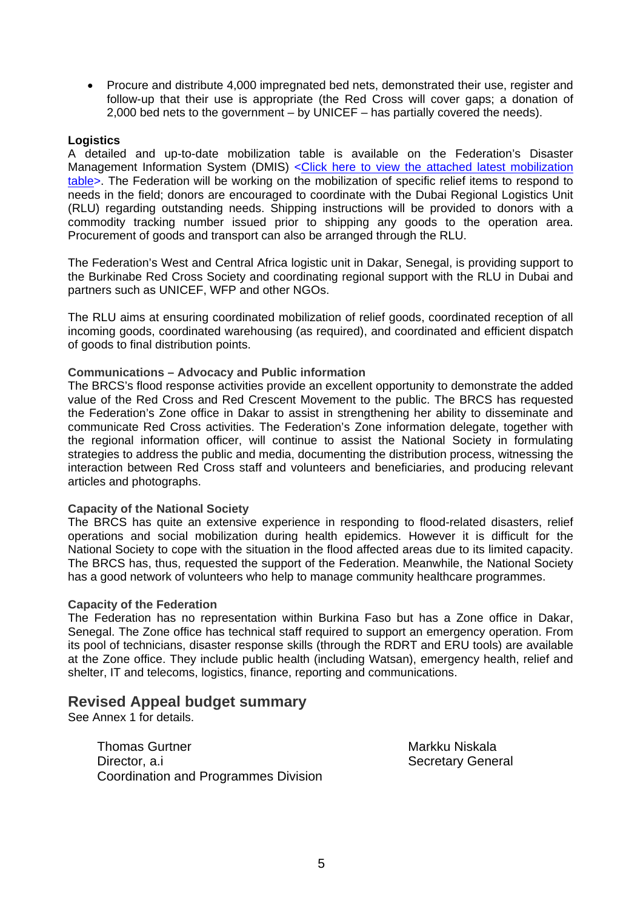• Procure and distribute 4,000 impregnated bed nets, demonstrated their use, register and follow-up that their use is appropriate (the Red Cross will cover gaps; a donation of 2,000 bed nets to the government – by UNICEF – has partially covered the needs).

#### **Logistics**

A detailed and up-to-date mobilization table is available on the Federation's Disaster Management Information System (DMIS) <Click here to view the attached latest mobilization [table>](https://www-secure.ifrc.org/dmis/admin/logistics/docs/MDR61002MT260907a.doc). The Federation will be working on the mobilization of specific relief items to respond to needs in the field; donors are encouraged to coordinate with the Dubai Regional Logistics Unit (RLU) regarding outstanding needs. Shipping instructions will be provided to donors with a commodity tracking number issued prior to shipping any goods to the operation area. Procurement of goods and transport can also be arranged through the RLU.

The Federation's West and Central Africa logistic unit in Dakar, Senegal, is providing support to the Burkinabe Red Cross Society and coordinating regional support with the RLU in Dubai and partners such as UNICEF, WFP and other NGOs.

The RLU aims at ensuring coordinated mobilization of relief goods, coordinated reception of all incoming goods, coordinated warehousing (as required), and coordinated and efficient dispatch of goods to final distribution points.

#### **Communications – Advocacy and Public information**

The BRCS's flood response activities provide an excellent opportunity to demonstrate the added value of the Red Cross and Red Crescent Movement to the public. The BRCS has requested the Federation's Zone office in Dakar to assist in strengthening her ability to disseminate and communicate Red Cross activities. The Federation's Zone information delegate, together with the regional information officer, will continue to assist the National Society in formulating strategies to address the public and media, documenting the distribution process, witnessing the interaction between Red Cross staff and volunteers and beneficiaries, and producing relevant articles and photographs.

#### **Capacity of the National Society**

The BRCS has quite an extensive experience in responding to flood-related disasters, relief operations and social mobilization during health epidemics. However it is difficult for the National Society to cope with the situation in the flood affected areas due to its limited capacity. The BRCS has, thus, requested the support of the Federation. Meanwhile, the National Society has a good network of volunteers who help to manage community healthcare programmes.

#### **Capacity of the Federation**

The Federation has no representation within Burkina Faso but has a Zone office in Dakar, Senegal. The Zone office has technical staff required to support an emergency operation. From its pool of technicians, disaster response skills (through the RDRT and ERU tools) are available at the Zone office. They include public health (including Watsan), emergency health, relief and shelter, IT and telecoms, logistics, finance, reporting and communications.

#### **Revised Appeal budget summary**

See Annex 1 for details.

Thomas Gurtner Markku Niskala Director, a.i Secretary General Coordination and Programmes Division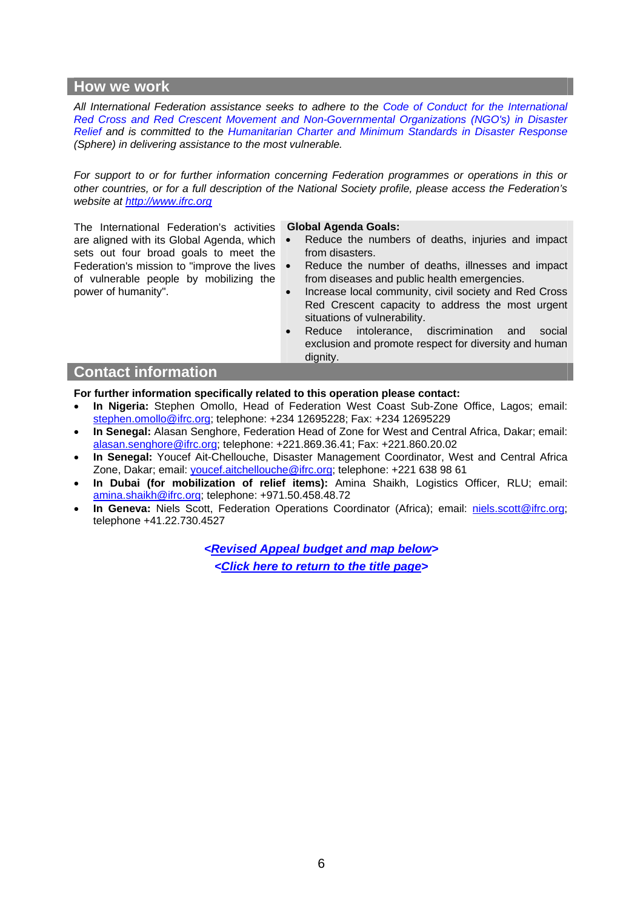#### **How we work**

*All International Federation assistance seeks to adhere to the [Code of Conduct for the International](http://www.ifrc.org/publicat/conduct/)  [Red Cross and Red Crescent Movement and Non-Governmental Organizations \(NGO's\) in Disaster](http://www.ifrc.org/publicat/conduct/)  [Relief](http://www.ifrc.org/publicat/conduct/) and is committed to the [Humanitarian Charter and Minimum Standards in Disaster Response](http://www.sphereproject.org/) (Sphere) in delivering assistance to the most vulnerable.* 

*For support to or for further information concerning Federation programmes or operations in this or other countries, or for a full description of the National Society profile, please access the Federation's website at [http://www.ifrc.org](http://www.ifrc.org/)*

The International Federation's activities are aligned with its Global Agenda, which sets out four broad goals to meet the Federation's mission to "improve the lives of vulnerable people by mobilizing the power of humanity".

#### **Global Agenda Goals:**

- Reduce the numbers of deaths, injuries and impact from disasters.
- Reduce the number of deaths, illnesses and impact from diseases and public health emergencies.
- Increase local community, civil society and Red Cross Red Crescent capacity to address the most urgent situations of vulnerability.
- Reduce intolerance, discrimination and social exclusion and promote respect for diversity and human dignity.

#### **Contact information**

**For further information specifically related to this operation please contact:** 

- **In Nigeria:** Stephen Omollo, Head of Federation West Coast Sub-Zone Office, Lagos; email: [stephen.omollo@ifrc.org;](mailto:stephen.omollo@ifrc.org) telephone: +234 12695228; Fax: +234 12695229
- **In Senegal:** Alasan Senghore, Federation Head of Zone for West and Central Africa, Dakar; email: [alasan.senghore@ifrc.org](mailto:alasan.senghore@ifrc.org); telephone: +221.869.36.41; Fax: +221.860.20.02
- **In Senegal:** Youcef Ait-Chellouche, Disaster Management Coordinator, West and Central Africa Zone, Dakar; email: [youcef.aitchellouche@ifrc.org;](mailto:youcef.aitchellouche@ifrc.org) telephone: +221 638 98 61
- **In Dubai (for mobilization of relief items):** Amina Shaikh, Logistics Officer, RLU; email: [amina.shaikh@ifrc.org](mailto:amina.shaikh@ifrc.org); telephone: +971.50.458.48.72
- **In Geneva:** Niels Scott, Federation Operations Coordinator (Africa); email: [niels.scott@ifrc.org;](mailto:niels.scott@ifrc.org) telephone +41.22.730.4527

*<Revised Appeal budget and map below> [<Click here to return to the title page>](#page-0-0)*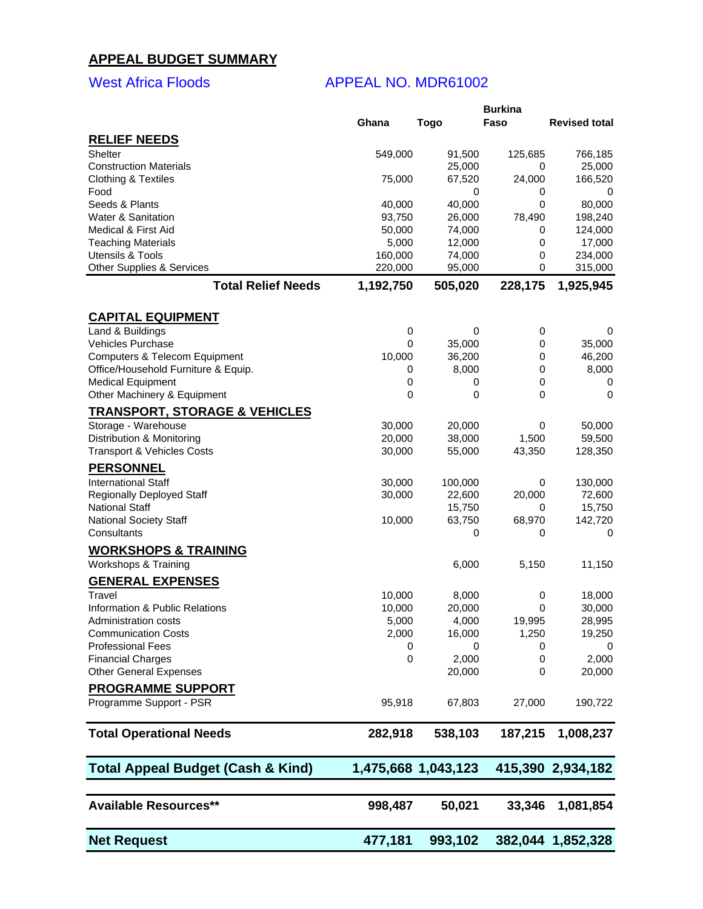### <span id="page-6-0"></span>**APPEAL BUDGET SUMMARY**

#### West Africa Floods APPEAL NO. MDR61002

|                                              |           |                     | <b>Burkina</b> |                      |
|----------------------------------------------|-----------|---------------------|----------------|----------------------|
|                                              | Ghana     | Togo                | Faso           | <b>Revised total</b> |
| <b>RELIEF NEEDS</b>                          |           |                     |                |                      |
| Shelter                                      |           |                     |                |                      |
|                                              | 549,000   | 91,500              | 125,685        | 766,185              |
| <b>Construction Materials</b>                |           | 25,000              | 0              | 25,000               |
| <b>Clothing &amp; Textiles</b>               | 75,000    | 67,520              | 24,000         | 166,520              |
| Food                                         |           | 0                   | 0              | 0                    |
| Seeds & Plants                               | 40,000    | 40,000              | 0              | 80,000               |
| <b>Water &amp; Sanitation</b>                | 93,750    | 26,000              | 78,490         | 198,240              |
| <b>Medical &amp; First Aid</b>               | 50,000    | 74,000              | 0              | 124,000              |
| <b>Teaching Materials</b>                    | 5,000     | 12,000              | 0              | 17,000               |
| Utensils & Tools                             | 160,000   | 74,000              | 0              | 234,000              |
| <b>Other Supplies &amp; Services</b>         | 220,000   | 95,000              | 0              | 315,000              |
| <b>Total Relief Needs</b>                    | 1,192,750 | 505,020             | 228,175        | 1,925,945            |
|                                              |           |                     |                |                      |
| <b>CAPITAL EQUIPMENT</b>                     |           |                     |                |                      |
| Land & Buildings                             | 0         | 0                   | 0              | 0                    |
| Vehicles Purchase                            | 0         | 35,000              | 0              | 35,000               |
| <b>Computers &amp; Telecom Equipment</b>     | 10,000    | 36,200              | 0              | 46,200               |
| Office/Household Furniture & Equip.          | 0         | 8,000               | 0              | 8,000                |
| <b>Medical Equipment</b>                     | 0         | 0                   | 0              | 0                    |
| Other Machinery & Equipment                  | 0         | 0                   | $\mathbf 0$    | 0                    |
| <b>TRANSPORT, STORAGE &amp; VEHICLES</b>     |           |                     |                |                      |
| Storage - Warehouse                          | 30,000    | 20,000              | 0              | 50,000               |
| Distribution & Monitoring                    | 20,000    | 38,000              | 1,500          | 59,500               |
| <b>Transport &amp; Vehicles Costs</b>        | 30,000    | 55,000              | 43,350         | 128,350              |
|                                              |           |                     |                |                      |
| <b>PERSONNEL</b>                             |           |                     |                |                      |
| <b>International Staff</b>                   | 30,000    | 100,000             | 0              | 130,000              |
| Regionally Deployed Staff                    | 30,000    | 22,600              | 20,000         | 72,600               |
| <b>National Staff</b>                        |           | 15,750              | 0              | 15,750               |
| <b>National Society Staff</b>                | 10,000    | 63,750              | 68,970         | 142,720              |
| Consultants                                  |           | 0                   | 0              | 0                    |
| <b>WORKSHOPS &amp; TRAINING</b>              |           |                     |                |                      |
| Workshops & Training                         |           | 6,000               | 5,150          |                      |
|                                              |           |                     |                | 11,150               |
| <b>GENERAL EXPENSES</b>                      |           |                     |                |                      |
| Travel                                       | 10,000    | 8,000               | 0              | 18,000               |
| Information & Public Relations               | 10,000    | 20,000              | 0              | 30,000               |
| Administration costs                         | 5,000     | 4,000               | 19,995         | 28,995               |
| <b>Communication Costs</b>                   | 2,000     | 16,000              | 1,250          | 19,250               |
| <b>Professional Fees</b>                     | 0         | 0                   | 0              | U                    |
| <b>Financial Charges</b>                     | 0         | 2,000               | 0              | 2,000                |
| <b>Other General Expenses</b>                |           | 20,000              | 0              | 20,000               |
|                                              |           |                     |                |                      |
| <b>PROGRAMME SUPPORT</b>                     |           |                     |                |                      |
| Programme Support - PSR                      | 95,918    | 67,803              | 27,000         | 190,722              |
| <b>Total Operational Needs</b>               | 282,918   | 538,103             | 187,215        | 1,008,237            |
| <b>Total Appeal Budget (Cash &amp; Kind)</b> |           | 1,475,668 1,043,123 |                | 415,390 2,934,182    |
|                                              |           |                     |                |                      |
| <b>Available Resources**</b>                 | 998,487   | 50,021              | 33,346         | 1,081,854            |
| <b>Net Request</b>                           | 477,181   | 993,102             |                | 382,044 1,852,328    |